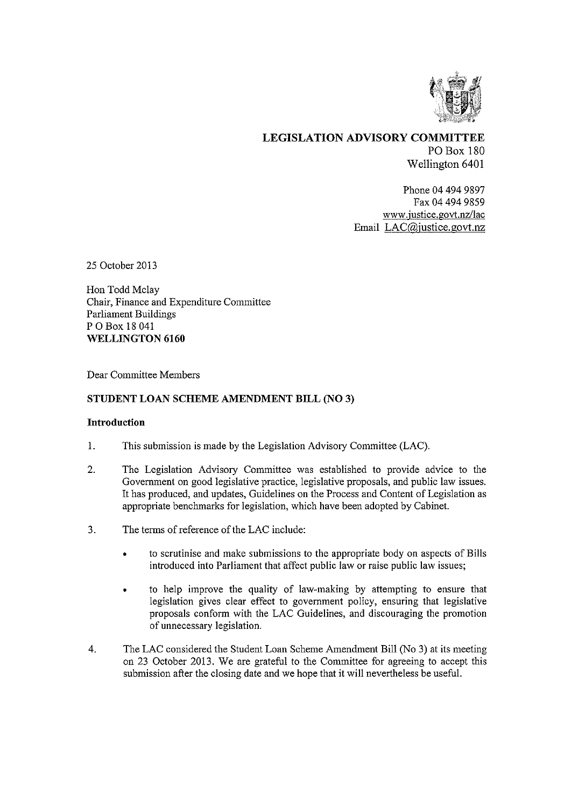

LEGISLATION ADVISORY COMMITTEE PO Box 180 Wellington 6401

> Phone 04 494 9897 Fax 04 494 9859 www.justice.govt.nz/lac Email LAC@justice.govt.nz

25 October 2013

Hon Todd Mclay Chair, Finance and Expenditure Committee Parliament Buildings P 0 Box 18 041 WELLINGTON 6160

Dear Committee Members

## STUDENT LOAN SCHEME AMENDMENT BILL (NO 3)

## Introduction

- 1. This submission is made by the Legislation Advisory Committee (LAC).
- 2. The Legislation Advisory Committee was established to provide advice to the Government on good legislative practice, legislative proposals, and public law issues. It has produced, and updates, Guidelines on the Process and Content of Legislation as appropriate benchmarks for legislation, which have been adopted by Cabinet.
- 3. The terms of reference of the LAC include:
	- to scrutinise and make submissions to the appropriate body on aspects of Bills introduced into Parliament that affect public law or raise public law issues;
	- to help improve the quality of law-making by attempting to ensure that legislation gives clear effect to government policy, ensuring that legislative proposals conform with the LAC Guidelines, and discouraging the promotion of unnecessary legislation.
- 4. The LAC considered the Student Loan Scheme Amendment Bill (No 3) at its meeting on 23 October 2013. We are grateful to the Committee for agreeing to accept this submission after the closing date and we hope that it will nevertheless be useful.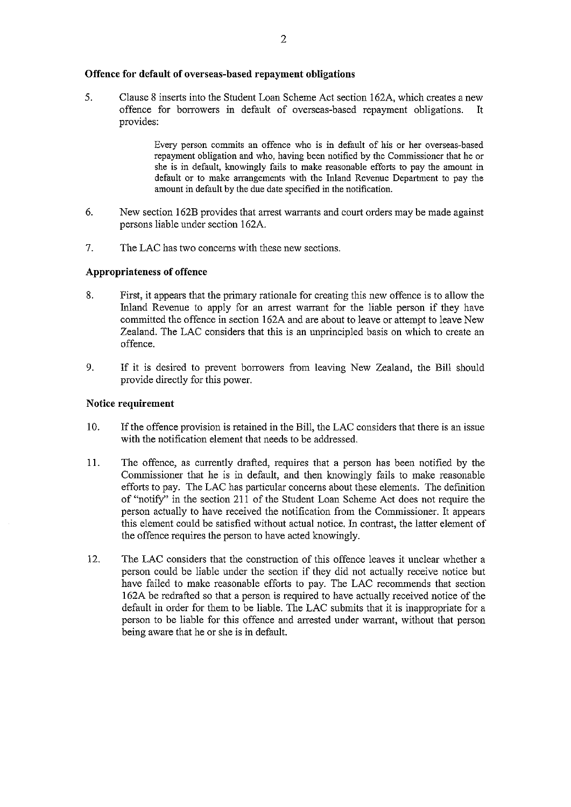#### **Offence for default of overseas-based repayment obligations**

5. Clause 8 inserts into the Student Loan Scheme Act section 162A, which creates a new offence for borrowers in default of overseas-based repayment obligations. It provides:

> Every person commits an offence who is in default of his or her overseas-based repayment obligation and who, having been notified by the Commissioner that he or she is in default, knowingly fails to make reasonable efforts to pay the amount in default or to make arrangements with the Inland Revenue Department to pay the amount in default by the due date specified in the notification.

- 6. New section 162B provides that arrest warrants and court orders may be made against persons liable under section 162A.
- 7, The LAC has two concerns with these new sections.

#### **Appropriateness of offence**

- 8. First, it appears that the primary rationale for creating this new offence is to allow the Inland Revenue to apply for an arrest warrant for the liable person if they have committed the offence in section 162A and are about to leave or attempt to leave New Zealand. The LAC considers that this is an unprincipled basis on which to create an offence.
- 9. If it is desired to prevent borrowers from leaving New Zealand, the Bill should provide directly for this power.

# **Notice requirement**

- 10. If the offence provision is retained in the Bill, the LAC considers that there is an issue with the notification element that needs to be addressed.
- 11. The offence, as currently drafted, requires that a person has been notified by the Commissioner that he is in default, and then knowingly fails to make reasonable efforts to pay. The LAC has particular concerns about these elements. The definition of "notify" in the section 211 of the Student Loan Scheme Act does not require the person actually to have received the notification from the Commissioner. It appears this element could be satisfied without actual notice. In contrast, the latter element of the offence requires the person to have acted knowingly.
- 12. The LAC considers that the construction of this offence leaves it unclear whether a person could be liable under the section if they did not actually receive notice but have failed to make reasonable efforts to pay. The LAC recommends that section 162A be redrafted so that a person is required to have actually received notice of the default in order for them to be liable. The LAC submits that it is inappropriate for a person to be liable for this offence and arrested under warrant, without that person being aware that he or she is in default.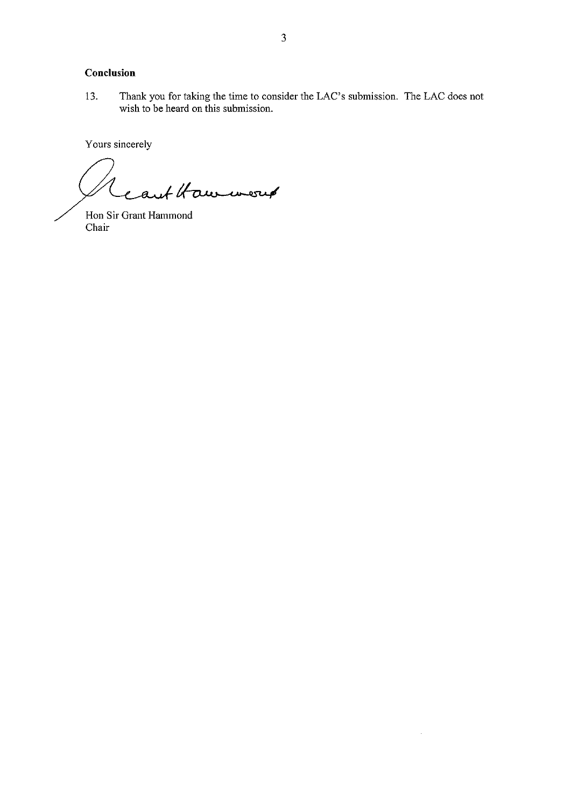# Conclusion

Thank you for taking the time to consider the LAC's submission. The LAC does not 13. wish to be heard on this submission.

 $\mathcal{L}^{\mathcal{A}}$ 

Yours sincerely

eart Haw were

Hon Sir Grant Hammond Chair